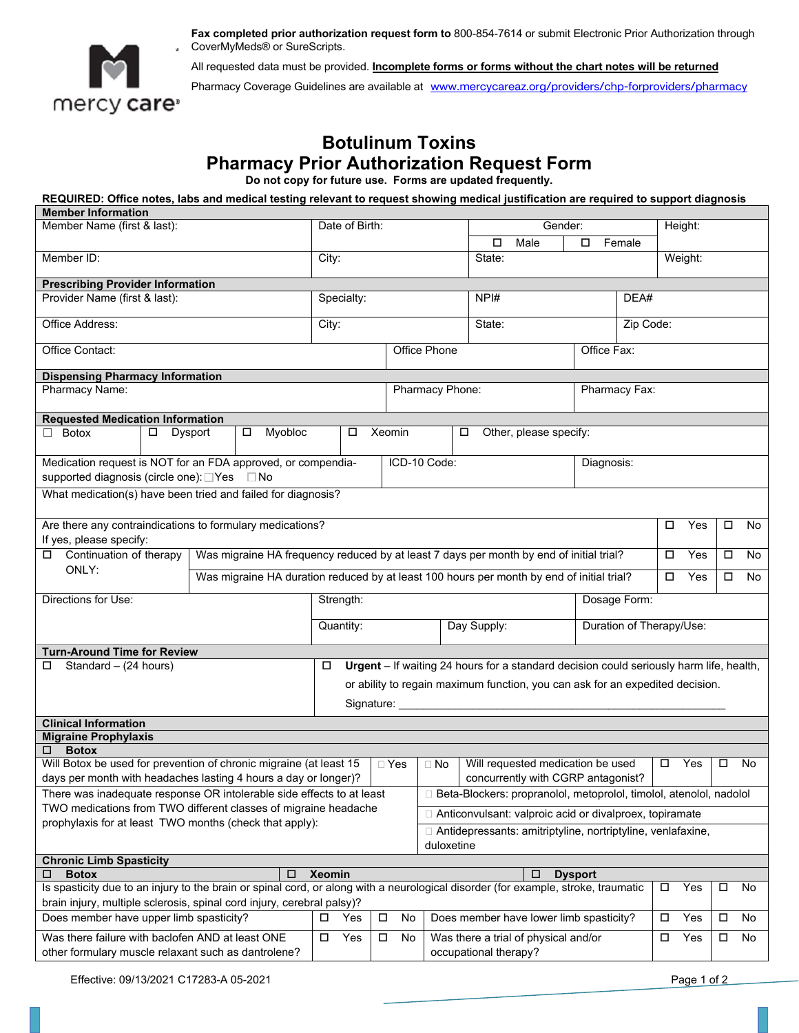

**Fax completed prior authorization request form to** 800-854-7614 or submit Electronic Prior Authorization through CoverMyMeds® or SureScripts.

All requested data must be provided. **Incomplete forms or forms without the chart notes will be returned**

Pharmacy Coverage Guidelines are available at [www.mercycareaz.org/providers/chp-forproviders/pharmacy](http://www.mercycareaz.org/providers/chp-forproviders/pharmacy)

## **Botulinum Toxins Pharmacy Prior Authorization Request Form**

**Do not copy for future use. Forms are updated frequently.** 

 **REQUIRED: Office notes, labs and medical testing relevant to request showing medical justification are required to support diagnosis** 

| <b>Member Information</b>                                                                                                                                                                                                          |        |         |                   |                 |                                                                                         |                                                                                           |                                                                    |                       |                                                                                         |                |                          |        |               |        |    |  |
|------------------------------------------------------------------------------------------------------------------------------------------------------------------------------------------------------------------------------------|--------|---------|-------------------|-----------------|-----------------------------------------------------------------------------------------|-------------------------------------------------------------------------------------------|--------------------------------------------------------------------|-----------------------|-----------------------------------------------------------------------------------------|----------------|--------------------------|--------|---------------|--------|----|--|
| Member Name (first & last):<br>Member ID:                                                                                                                                                                                          |        |         |                   | Date of Birth:  |                                                                                         |                                                                                           |                                                                    | Gender:               |                                                                                         |                | Height:                  |        |               |        |    |  |
|                                                                                                                                                                                                                                    |        |         |                   |                 |                                                                                         |                                                                                           |                                                                    | □                     | Male                                                                                    | Female<br>□    |                          |        |               |        |    |  |
|                                                                                                                                                                                                                                    |        |         |                   | City:           |                                                                                         |                                                                                           |                                                                    | State:                |                                                                                         |                | Weight:                  |        |               |        |    |  |
|                                                                                                                                                                                                                                    |        |         |                   |                 |                                                                                         |                                                                                           |                                                                    |                       |                                                                                         |                |                          |        |               |        |    |  |
| <b>Prescribing Provider Information</b><br>Provider Name (first & last):                                                                                                                                                           |        |         |                   |                 |                                                                                         |                                                                                           |                                                                    |                       |                                                                                         |                |                          |        |               |        |    |  |
|                                                                                                                                                                                                                                    |        |         |                   |                 | Specialty:                                                                              |                                                                                           |                                                                    |                       | NPI#                                                                                    |                | DEA#                     |        |               |        |    |  |
| Office Address:                                                                                                                                                                                                                    |        |         |                   | City:           |                                                                                         |                                                                                           |                                                                    |                       | State:                                                                                  |                | Zip Code:                |        |               |        |    |  |
|                                                                                                                                                                                                                                    |        |         |                   |                 |                                                                                         |                                                                                           |                                                                    |                       |                                                                                         |                |                          |        |               |        |    |  |
| Office Contact:                                                                                                                                                                                                                    |        |         |                   | Office Phone    |                                                                                         |                                                                                           |                                                                    | Office Fax:           |                                                                                         |                |                          |        |               |        |    |  |
|                                                                                                                                                                                                                                    |        |         |                   |                 |                                                                                         |                                                                                           |                                                                    |                       |                                                                                         |                |                          |        |               |        |    |  |
| <b>Dispensing Pharmacy Information</b><br>Pharmacy Name:                                                                                                                                                                           |        |         |                   | Pharmacy Phone: |                                                                                         |                                                                                           |                                                                    |                       |                                                                                         | Pharmacy Fax:  |                          |        |               |        |    |  |
|                                                                                                                                                                                                                                    |        |         |                   |                 |                                                                                         |                                                                                           |                                                                    |                       |                                                                                         |                |                          |        |               |        |    |  |
| <b>Requested Medication Information</b>                                                                                                                                                                                            |        |         |                   |                 |                                                                                         |                                                                                           |                                                                    |                       |                                                                                         |                |                          |        |               |        |    |  |
| Botox<br>$\Box$                                                                                                                                                                                                                    | $\Box$ | Dysport | Myobloc<br>$\Box$ |                 | □                                                                                       | Xeomin                                                                                    |                                                                    | □                     | Other, please specify:                                                                  |                |                          |        |               |        |    |  |
|                                                                                                                                                                                                                                    |        |         |                   |                 |                                                                                         |                                                                                           |                                                                    |                       |                                                                                         |                |                          |        |               |        |    |  |
| Medication request is NOT for an FDA approved, or compendia-                                                                                                                                                                       |        |         |                   |                 | ICD-10 Code:                                                                            |                                                                                           |                                                                    |                       | Diagnosis:                                                                              |                |                          |        |               |        |    |  |
| supported diagnosis (circle one): □ Yes<br>⊟ No                                                                                                                                                                                    |        |         |                   |                 |                                                                                         |                                                                                           |                                                                    |                       |                                                                                         |                |                          |        |               |        |    |  |
| What medication(s) have been tried and failed for diagnosis?                                                                                                                                                                       |        |         |                   |                 |                                                                                         |                                                                                           |                                                                    |                       |                                                                                         |                |                          |        |               |        |    |  |
|                                                                                                                                                                                                                                    |        |         |                   |                 |                                                                                         |                                                                                           |                                                                    |                       |                                                                                         |                |                          |        |               |        |    |  |
| Are there any contraindications to formulary medications?                                                                                                                                                                          |        |         |                   |                 |                                                                                         |                                                                                           |                                                                    | □                     | Yes                                                                                     | $\Box$         | No                       |        |               |        |    |  |
| If yes, please specify:                                                                                                                                                                                                            |        |         |                   |                 |                                                                                         |                                                                                           |                                                                    |                       |                                                                                         |                |                          |        |               |        |    |  |
| Continuation of therapy                                                                                                                                                                                                            |        |         |                   |                 | Was migraine HA frequency reduced by at least 7 days per month by end of initial trial? |                                                                                           |                                                                    |                       |                                                                                         |                | $\Box$                   | Yes    | $\Box$        | No     |    |  |
| ONLY:                                                                                                                                                                                                                              |        |         |                   |                 |                                                                                         | Was migraine HA duration reduced by at least 100 hours per month by end of initial trial? |                                                                    |                       |                                                                                         |                |                          | Yes    |               | No     |    |  |
| Directions for Use:                                                                                                                                                                                                                |        |         |                   | Strength:       |                                                                                         |                                                                                           |                                                                    |                       | Dosage Form:                                                                            |                |                          |        |               |        |    |  |
|                                                                                                                                                                                                                                    |        |         |                   |                 |                                                                                         |                                                                                           |                                                                    |                       |                                                                                         |                |                          |        |               |        |    |  |
|                                                                                                                                                                                                                                    |        |         |                   | Quantity:       |                                                                                         |                                                                                           |                                                                    | Day Supply:           |                                                                                         |                | Duration of Therapy/Use: |        |               |        |    |  |
|                                                                                                                                                                                                                                    |        |         |                   |                 |                                                                                         |                                                                                           |                                                                    |                       |                                                                                         |                |                          |        |               |        |    |  |
| <b>Turn-Around Time for Review</b>                                                                                                                                                                                                 |        |         |                   | □               |                                                                                         |                                                                                           |                                                                    |                       | Urgent - If waiting 24 hours for a standard decision could seriously harm life, health, |                |                          |        |               |        |    |  |
| Standard - (24 hours)<br>□                                                                                                                                                                                                         |        |         |                   |                 |                                                                                         |                                                                                           |                                                                    |                       |                                                                                         |                |                          |        |               |        |    |  |
|                                                                                                                                                                                                                                    |        |         |                   |                 | or ability to regain maximum function, you can ask for an expedited decision.           |                                                                                           |                                                                    |                       |                                                                                         |                |                          |        |               |        |    |  |
| Signature: ___                                                                                                                                                                                                                     |        |         |                   |                 |                                                                                         |                                                                                           |                                                                    |                       |                                                                                         |                |                          |        |               |        |    |  |
| <b>Clinical Information</b>                                                                                                                                                                                                        |        |         |                   |                 |                                                                                         |                                                                                           |                                                                    |                       |                                                                                         |                |                          |        |               |        |    |  |
| <b>Migraine Prophylaxis</b>                                                                                                                                                                                                        |        |         |                   |                 |                                                                                         |                                                                                           |                                                                    |                       |                                                                                         |                |                          |        |               |        |    |  |
| <b>Botox</b><br>□                                                                                                                                                                                                                  |        |         |                   |                 |                                                                                         |                                                                                           |                                                                    |                       |                                                                                         |                |                          |        |               |        |    |  |
| Will Botox be used for prevention of chronic migraine (at least 15                                                                                                                                                                 |        |         |                   |                 |                                                                                         | $\Box$ Yes                                                                                | $\Box$ No                                                          |                       | Will requested medication be used                                                       |                |                          |        | $\square$ Yes | $\Box$ | No |  |
| days per month with headaches lasting 4 hours a day or longer)?                                                                                                                                                                    |        |         |                   |                 |                                                                                         | concurrently with CGRP antagonist?                                                        |                                                                    |                       |                                                                                         |                |                          |        |               |        |    |  |
| There was inadequate response OR intolerable side effects to at least<br>□ Beta-Blockers: propranolol, metoprolol, timolol, atenolol, nadolol                                                                                      |        |         |                   |                 |                                                                                         |                                                                                           |                                                                    |                       |                                                                                         |                |                          |        |               |        |    |  |
| TWO medications from TWO different classes of migraine headache<br>prophylaxis for at least TWO months (check that apply):                                                                                                         |        |         |                   |                 |                                                                                         |                                                                                           | □ Anticonvulsant: valproic acid or divalproex, topiramate          |                       |                                                                                         |                |                          |        |               |        |    |  |
|                                                                                                                                                                                                                                    |        |         |                   |                 |                                                                                         |                                                                                           | $\Box$ Antidepressants: amitriptyline, nortriptyline, venlafaxine, |                       |                                                                                         |                |                          |        |               |        |    |  |
|                                                                                                                                                                                                                                    |        |         |                   |                 |                                                                                         |                                                                                           | duloxetine                                                         |                       |                                                                                         |                |                          |        |               |        |    |  |
| <b>Chronic Limb Spasticity</b>                                                                                                                                                                                                     |        |         |                   |                 |                                                                                         |                                                                                           |                                                                    |                       |                                                                                         |                |                          |        |               |        |    |  |
| <b>Botox</b><br>□                                                                                                                                                                                                                  |        |         | □                 | <b>Xeomin</b>   |                                                                                         |                                                                                           |                                                                    |                       | □                                                                                       | <b>Dysport</b> |                          |        |               |        |    |  |
| Is spasticity due to an injury to the brain or spinal cord, or along with a neurological disorder (for example, stroke, traumatic<br>о<br>Yes<br>о<br>No<br>brain injury, multiple sclerosis, spinal cord injury, cerebral palsy)? |        |         |                   |                 |                                                                                         |                                                                                           |                                                                    |                       |                                                                                         |                |                          |        |               |        |    |  |
| Does member have upper limb spasticity?                                                                                                                                                                                            |        |         |                   |                 | Yes                                                                                     | $\Box$<br>No                                                                              |                                                                    |                       | Does member have lower limb spasticity?                                                 |                |                          | $\Box$ | Yes           | $\Box$ | No |  |
|                                                                                                                                                                                                                                    |        |         |                   |                 |                                                                                         |                                                                                           |                                                                    |                       |                                                                                         |                |                          |        |               |        |    |  |
| Was there failure with baclofen AND at least ONE                                                                                                                                                                                   |        |         |                   | $\Box$          | Yes<br>$\Box$                                                                           | No                                                                                        |                                                                    |                       | Was there a trial of physical and/or                                                    |                |                          | □      | Yes           | □      | No |  |
| other formulary muscle relaxant such as dantrolene?                                                                                                                                                                                |        |         |                   |                 |                                                                                         |                                                                                           |                                                                    | occupational therapy? |                                                                                         |                |                          |        |               |        |    |  |